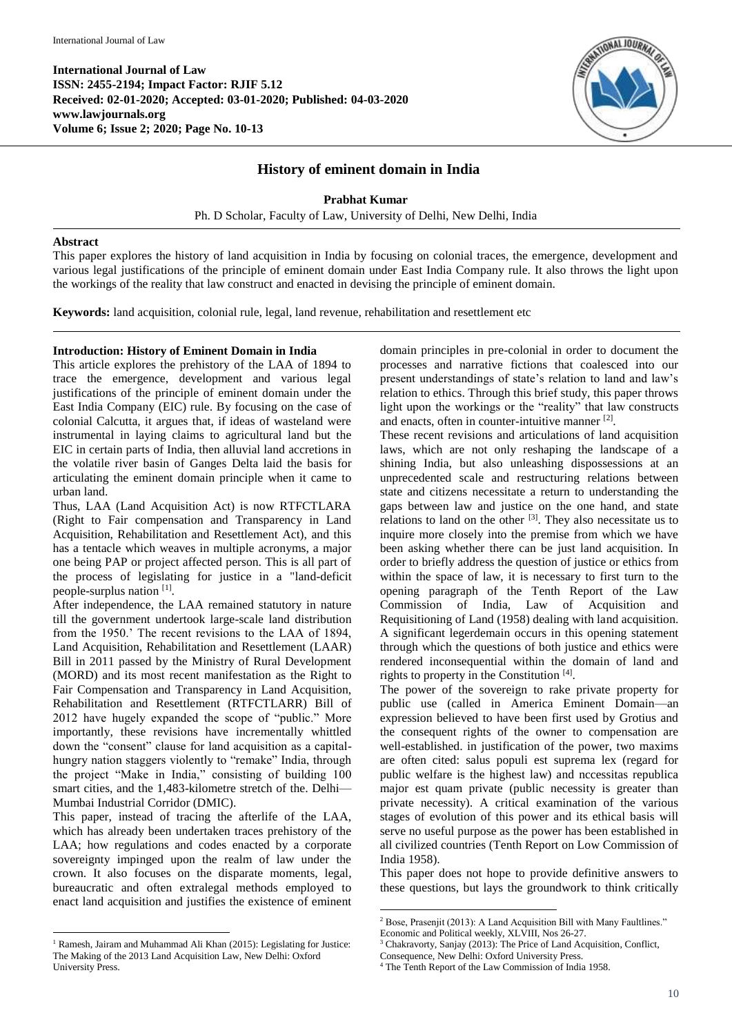

# **History of eminent domain in India**

**Prabhat Kumar**

Ph. D Scholar, Faculty of Law, University of Delhi, New Delhi, India

## **Abstract**

This paper explores the history of land acquisition in India by focusing on colonial traces, the emergence, development and various legal justifications of the principle of eminent domain under East India Company rule. It also throws the light upon the workings of the reality that law construct and enacted in devising the principle of eminent domain.

**Keywords:** land acquisition, colonial rule, legal, land revenue, rehabilitation and resettlement etc

# **Introduction: History of Eminent Domain in India**

This article explores the prehistory of the LAA of 1894 to trace the emergence, development and various legal justifications of the principle of eminent domain under the East India Company (EIC) rule. By focusing on the case of colonial Calcutta, it argues that, if ideas of wasteland were instrumental in laying claims to agricultural land but the EIC in certain parts of India, then alluvial land accretions in the volatile river basin of Ganges Delta laid the basis for articulating the eminent domain principle when it came to urban land.

Thus, LAA (Land Acquisition Act) is now RTFCTLARA (Right to Fair compensation and Transparency in Land Acquisition, Rehabilitation and Resettlement Act), and this has a tentacle which weaves in multiple acronyms, a major one being PAP or project affected person. This is all part of the process of legislating for justice in a "land-deficit people-surplus nation [1].

After independence, the LAA remained statutory in nature till the government undertook large-scale land distribution from the 1950.' The recent revisions to the LAA of 1894, Land Acquisition, Rehabilitation and Resettlement (LAAR) Bill in 2011 passed by the Ministry of Rural Development (MORD) and its most recent manifestation as the Right to Fair Compensation and Transparency in Land Acquisition, Rehabilitation and Resettlement (RTFCTLARR) Bill of 2012 have hugely expanded the scope of "public." More importantly, these revisions have incrementally whittled down the "consent" clause for land acquisition as a capitalhungry nation staggers violently to "remake" India, through the project "Make in India," consisting of building 100 smart cities, and the 1,483-kilometre stretch of the. Delhi— Mumbai Industrial Corridor (DMIC).

This paper, instead of tracing the afterlife of the LAA, which has already been undertaken traces prehistory of the LAA; how regulations and codes enacted by a corporate sovereignty impinged upon the realm of law under the crown. It also focuses on the disparate moments, legal, bureaucratic and often extralegal methods employed to enact land acquisition and justifies the existence of eminent

1

domain principles in pre-colonial in order to document the processes and narrative fictions that coalesced into our present understandings of state's relation to land and law's relation to ethics. Through this brief study, this paper throws light upon the workings or the "reality" that law constructs and enacts, often in counter-intuitive manner [2].

These recent revisions and articulations of land acquisition laws, which are not only reshaping the landscape of a shining India, but also unleashing dispossessions at an unprecedented scale and restructuring relations between state and citizens necessitate a return to understanding the gaps between law and justice on the one hand, and state relations to land on the other  $[3]$ . They also necessitate us to inquire more closely into the premise from which we have been asking whether there can be just land acquisition. In order to briefly address the question of justice or ethics from within the space of law, it is necessary to first turn to the opening paragraph of the Tenth Report of the Law Commission of India, Law of Acquisition and Requisitioning of Land (1958) dealing with land acquisition. A significant legerdemain occurs in this opening statement through which the questions of both justice and ethics were rendered inconsequential within the domain of land and rights to property in the Constitution [4] .

The power of the sovereign to rake private property for public use (called in America Eminent Domain—an expression believed to have been first used by Grotius and the consequent rights of the owner to compensation are well-established. in justification of the power, two maxims are often cited: salus populi est suprema lex (regard for public welfare is the highest law) and nccessitas republica major est quam private (public necessity is greater than private necessity). A critical examination of the various stages of evolution of this power and its ethical basis will serve no useful purpose as the power has been established in all civilized countries (Tenth Report on Low Commission of India 1958).

This paper does not hope to provide definitive answers to these questions, but lays the groundwork to think critically

1

<sup>&</sup>lt;sup>1</sup> Ramesh, Jairam and Muhammad Ali Khan (2015): Legislating for Justice: The Making of the 2013 Land Acquisition Law, New Delhi: Oxford University Press.

<sup>&</sup>lt;sup>2</sup> Bose, Prasenjit (2013): A Land Acquisition Bill with Many Faultlines."

Economic and Political weekly, XLVIII, Nos 26-27.

<sup>3</sup> Chakravorty, Sanjay (2013): The Price of Land Acquisition, Conflict,

Consequence, New Delhi: Oxford University Press.

<sup>4</sup> The Tenth Report of the Law Commission of India 1958.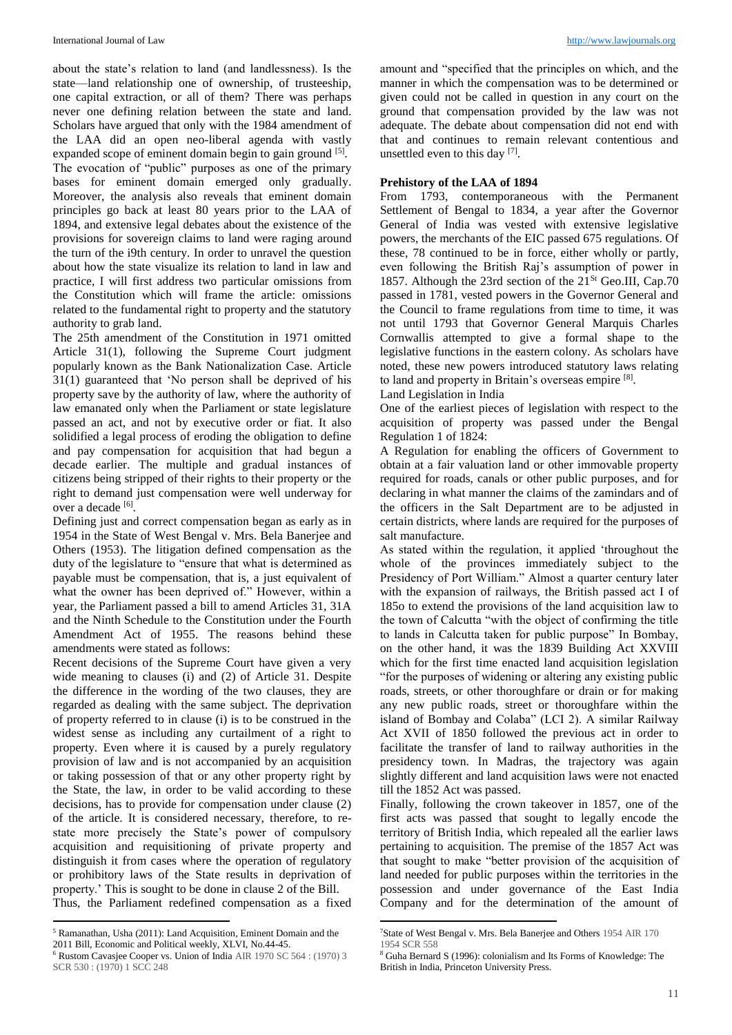about the state's relation to land (and landlessness). Is the state—land relationship one of ownership, of trusteeship, one capital extraction, or all of them? There was perhaps never one defining relation between the state and land. Scholars have argued that only with the 1984 amendment of the LAA did an open neo-liberal agenda with vastly expanded scope of eminent domain begin to gain ground <sup>[5]</sup>. The evocation of "public" purposes as one of the primary bases for eminent domain emerged only gradually. Moreover, the analysis also reveals that eminent domain principles go back at least 80 years prior to the LAA of 1894, and extensive legal debates about the existence of the provisions for sovereign claims to land were raging around the turn of the i9th century. In order to unravel the question about how the state visualize its relation to land in law and practice, I will first address two particular omissions from the Constitution which will frame the article: omissions related to the fundamental right to property and the statutory authority to grab land.

The 25th amendment of the Constitution in 1971 omitted Article 31(1), following the Supreme Court judgment popularly known as the Bank Nationalization Case. Article 31(1) guaranteed that 'No person shall be deprived of his property save by the authority of law, where the authority of law emanated only when the Parliament or state legislature passed an act, and not by executive order or fiat. It also solidified a legal process of eroding the obligation to define and pay compensation for acquisition that had begun a decade earlier. The multiple and gradual instances of citizens being stripped of their rights to their property or the right to demand just compensation were well underway for over a decade <sup>[6]</sup>.

Defining just and correct compensation began as early as in 1954 in the State of West Bengal v. Mrs. Bela Banerjee and Others (1953). The litigation defined compensation as the duty of the legislature to "ensure that what is determined as payable must be compensation, that is, a just equivalent of what the owner has been deprived of." However, within a year, the Parliament passed a bill to amend Articles 31, 31A and the Ninth Schedule to the Constitution under the Fourth Amendment Act of 1955. The reasons behind these amendments were stated as follows:

Recent decisions of the Supreme Court have given a very wide meaning to clauses (i) and (2) of Article 31. Despite the difference in the wording of the two clauses, they are regarded as dealing with the same subject. The deprivation of property referred to in clause (i) is to be construed in the widest sense as including any curtailment of a right to property. Even where it is caused by a purely regulatory provision of law and is not accompanied by an acquisition or taking possession of that or any other property right by the State, the law, in order to be valid according to these decisions, has to provide for compensation under clause (2) of the article. It is considered necessary, therefore, to restate more precisely the State's power of compulsory acquisition and requisitioning of private property and distinguish it from cases where the operation of regulatory or prohibitory laws of the State results in deprivation of property.' This is sought to be done in clause 2 of the Bill. Thus, the Parliament redefined compensation as a fixed

amount and "specified that the principles on which, and the manner in which the compensation was to be determined or given could not be called in question in any court on the ground that compensation provided by the law was not adequate. The debate about compensation did not end with that and continues to remain relevant contentious and unsettled even to this day  $[7]$ .

### **Prehistory of the LAA of 1894**

From 1793, contemporaneous with the Permanent Settlement of Bengal to 1834, a year after the Governor General of India was vested with extensive legislative powers, the merchants of the EIC passed 675 regulations. Of these, 78 continued to be in force, either wholly or partly, even following the British Raj's assumption of power in 1857. Although the 23rd section of the  $21^{St}$  Geo.III, Cap.70 passed in 1781, vested powers in the Governor General and the Council to frame regulations from time to time, it was not until 1793 that Governor General Marquis Charles Cornwallis attempted to give a formal shape to the legislative functions in the eastern colony. As scholars have noted, these new powers introduced statutory laws relating to land and property in Britain's overseas empire [8].

Land Legislation in India

One of the earliest pieces of legislation with respect to the acquisition of property was passed under the Bengal Regulation 1 of 1824:

A Regulation for enabling the officers of Government to obtain at a fair valuation land or other immovable property required for roads, canals or other public purposes, and for declaring in what manner the claims of the zamindars and of the officers in the Salt Department are to be adjusted in certain districts, where lands are required for the purposes of salt manufacture.

As stated within the regulation, it applied 'throughout the whole of the provinces immediately subject to the Presidency of Port William." Almost a quarter century later with the expansion of railways, the British passed act I of 185o to extend the provisions of the land acquisition law to the town of Calcutta "with the object of confirming the title to lands in Calcutta taken for public purpose" In Bombay, on the other hand, it was the 1839 Building Act XXVIII which for the first time enacted land acquisition legislation "for the purposes of widening or altering any existing public roads, streets, or other thoroughfare or drain or for making any new public roads, street or thoroughfare within the island of Bombay and Colaba" (LCI 2). A similar Railway Act XVII of 1850 followed the previous act in order to facilitate the transfer of land to railway authorities in the presidency town. In Madras, the trajectory was again slightly different and land acquisition laws were not enacted till the 1852 Act was passed.

Finally, following the crown takeover in 1857, one of the first acts was passed that sought to legally encode the territory of British India, which repealed all the earlier laws pertaining to acquisition. The premise of the 1857 Act was that sought to make "better provision of the acquisition of land needed for public purposes within the territories in the possession and under governance of the East India Company and for the determination of the amount of

**.** 

**<sup>.</sup>** <sup>5</sup> Ramanathan, Usha (2011): Land Acquisition, Eminent Domain and the 2011 Bill, Economic and Political weekly, XLVI, No.44-45.

<sup>6</sup> Rustom Cavasjee Cooper vs. Union of India AIR 1970 SC 564 : (1970) 3 SCR 530 : (1970) 1 SCC 248

<sup>7</sup>State of West Bengal v. Mrs. Bela Banerjee and Others 1954 AIR 170 1954 SCR 558

<sup>8</sup> Guha Bernard S (1996): colonialism and Its Forms of Knowledge: The British in India, Princeton University Press.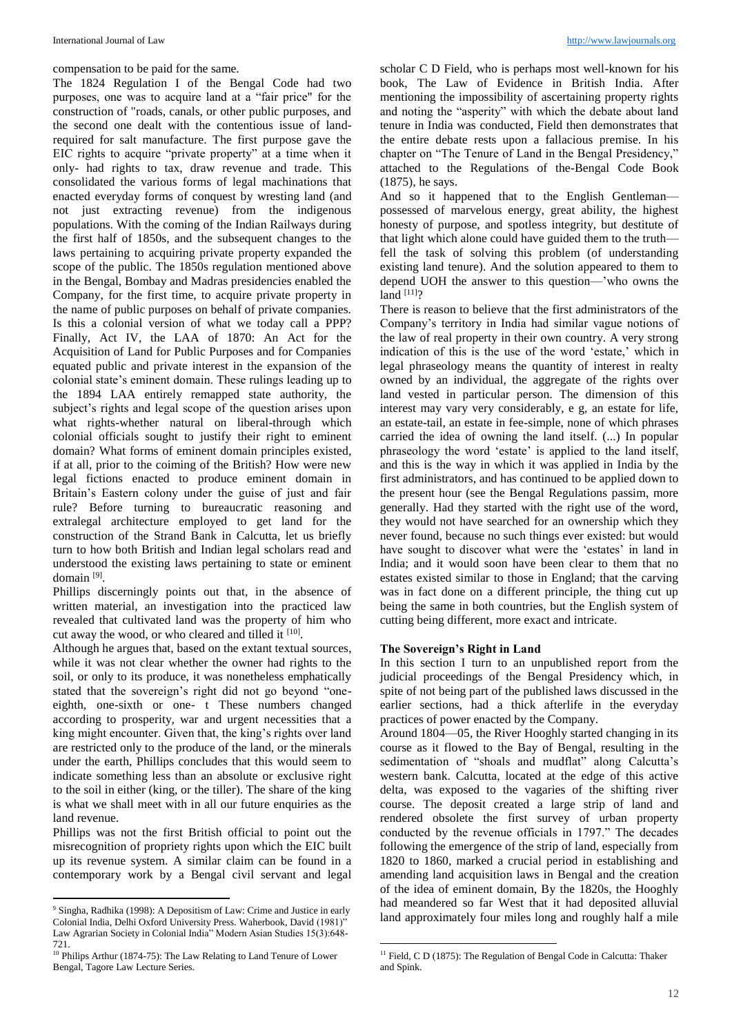compensation to be paid for the same.

The 1824 Regulation I of the Bengal Code had two purposes, one was to acquire land at a "fair price" for the construction of "roads, canals, or other public purposes, and the second one dealt with the contentious issue of landrequired for salt manufacture. The first purpose gave the EIC rights to acquire "private property" at a time when it only- had rights to tax, draw revenue and trade. This consolidated the various forms of legal machinations that enacted everyday forms of conquest by wresting land (and not just extracting revenue) from the indigenous populations. With the coming of the Indian Railways during the first half of 1850s, and the subsequent changes to the laws pertaining to acquiring private property expanded the scope of the public. The 1850s regulation mentioned above in the Bengal, Bombay and Madras presidencies enabled the Company, for the first time, to acquire private property in the name of public purposes on behalf of private companies. Is this a colonial version of what we today call a PPP? Finally, Act IV, the LAA of 1870: An Act for the Acquisition of Land for Public Purposes and for Companies equated public and private interest in the expansion of the colonial state's eminent domain. These rulings leading up to the 1894 LAA entirely remapped state authority, the subject's rights and legal scope of the question arises upon what rights-whether natural on liberal-through which colonial officials sought to justify their right to eminent domain? What forms of eminent domain principles existed, if at all, prior to the coiming of the British? How were new legal fictions enacted to produce eminent domain in Britain's Eastern colony under the guise of just and fair rule? Before turning to bureaucratic reasoning and extralegal architecture employed to get land for the construction of the Strand Bank in Calcutta, let us briefly turn to how both British and Indian legal scholars read and understood the existing laws pertaining to state or eminent domain [9] .

Phillips discerningly points out that, in the absence of written material, an investigation into the practiced law revealed that cultivated land was the property of him who cut away the wood, or who cleared and tilled it [10].

Although he argues that, based on the extant textual sources, while it was not clear whether the owner had rights to the soil, or only to its produce, it was nonetheless emphatically stated that the sovereign's right did not go beyond "oneeighth, one-sixth or one- t These numbers changed according to prosperity, war and urgent necessities that a king might encounter. Given that, the king's rights over land are restricted only to the produce of the land, or the minerals under the earth, Phillips concludes that this would seem to indicate something less than an absolute or exclusive right to the soil in either (king, or the tiller). The share of the king is what we shall meet with in all our future enquiries as the land revenue.

Phillips was not the first British official to point out the misrecognition of propriety rights upon which the EIC built up its revenue system. A similar claim can be found in a contemporary work by a Bengal civil servant and legal

**.** 

scholar C D Field, who is perhaps most well-known for his book, The Law of Evidence in British India. After mentioning the impossibility of ascertaining property rights and noting the "asperity" with which the debate about land tenure in India was conducted, Field then demonstrates that the entire debate rests upon a fallacious premise. In his chapter on "The Tenure of Land in the Bengal Presidency," attached to the Regulations of the-Bengal Code Book (1875), he says.

And so it happened that to the English Gentleman possessed of marvelous energy, great ability, the highest honesty of purpose, and spotless integrity, but destitute of that light which alone could have guided them to the truth fell the task of solving this problem (of understanding existing land tenure). And the solution appeared to them to depend UOH the answer to this question—'who owns the  $land$  [11]?

There is reason to believe that the first administrators of the Company's territory in India had similar vague notions of the law of real property in their own country. A very strong indication of this is the use of the word 'estate,' which in legal phraseology means the quantity of interest in realty owned by an individual, the aggregate of the rights over land vested in particular person. The dimension of this interest may vary very considerably, e g, an estate for life, an estate-tail, an estate in fee-simple, none of which phrases carried the idea of owning the land itself. (...) In popular phraseology the word 'estate' is applied to the land itself, and this is the way in which it was applied in India by the first administrators, and has continued to be applied down to the present hour (see the Bengal Regulations passim, more generally. Had they started with the right use of the word, they would not have searched for an ownership which they never found, because no such things ever existed: but would have sought to discover what were the 'estates' in land in India; and it would soon have been clear to them that no estates existed similar to those in England; that the carving was in fact done on a different principle, the thing cut up being the same in both countries, but the English system of cutting being different, more exact and intricate.

## **The Sovereign's Right in Land**

In this section I turn to an unpublished report from the judicial proceedings of the Bengal Presidency which, in spite of not being part of the published laws discussed in the earlier sections, had a thick afterlife in the everyday practices of power enacted by the Company.

Around 1804—05, the River Hooghly started changing in its course as it flowed to the Bay of Bengal, resulting in the sedimentation of "shoals and mudflat" along Calcutta's western bank. Calcutta, located at the edge of this active delta, was exposed to the vagaries of the shifting river course. The deposit created a large strip of land and rendered obsolete the first survey of urban property conducted by the revenue officials in 1797." The decades following the emergence of the strip of land, especially from 1820 to 1860, marked a crucial period in establishing and amending land acquisition laws in Bengal and the creation of the idea of eminent domain, By the 1820s, the Hooghly had meandered so far West that it had deposited alluvial land approximately four miles long and roughly half a mile

<sup>9</sup> Singha, Radhika (1998): A Depositism of Law: Crime and Justice in early Colonial India, Delhi Oxford University Press. Waherbook, David (1981)" Law Agrarian Society in Colonial India" Modern Asian Studies 15(3):648- 721.

<sup>&</sup>lt;sup>10</sup> Philips Arthur (1874-75): The Law Relating to Land Tenure of Lower Bengal, Tagore Law Lecture Series.

**<sup>.</sup>** <sup>11</sup> Field, C D (1875): The Regulation of Bengal Code in Calcutta: Thaker and Spink.